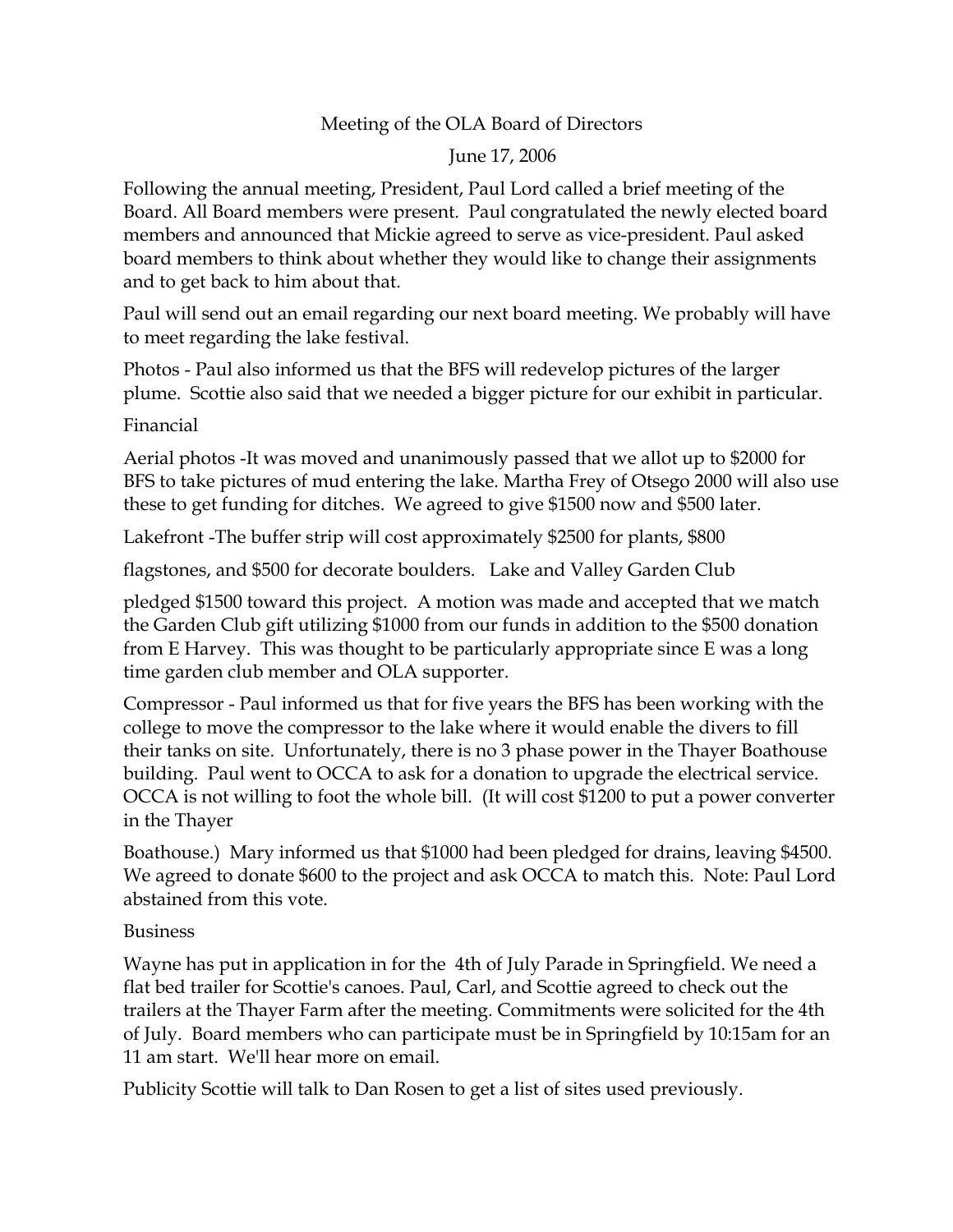## Meeting of the OLA Board of Directors

## June 17, 2006

Following the annual meeting, President, Paul Lord called a brief meeting of the Board. All Board members were present. Paul congratulated the newly elected board members and announced that Mickie agreed to serve as vice-president. Paul asked board members to think about whether they would like to change their assignments and to get back to him about that.

Paul will send out an email regarding our next board meeting. We probably will have to meet regarding the lake festival.

Photos - Paul also informed us that the BFS will redevelop pictures of the larger plume. Scottie also said that we needed a bigger picture for our exhibit in particular.

Financial

Aerial photos -It was moved and unanimously passed that we allot up to \$2000 for BFS to take pictures of mud entering the lake. Martha Frey of Otsego 2000 will also use these to get funding for ditches. We agreed to give \$1500 now and \$500 later.

Lakefront -The buffer strip will cost approximately \$2500 for plants, \$800

flagstones, and \$500 for decorate boulders. Lake and Valley Garden Club

pledged \$1500 toward this project. A motion was made and accepted that we match the Garden Club gift utilizing \$1000 from our funds in addition to the \$500 donation from E Harvey. This was thought to be particularly appropriate since E was a long time garden club member and OLA supporter.

Compressor - Paul informed us that for five years the BFS has been working with the college to move the compressor to the lake where it would enable the divers to fill their tanks on site. Unfortunately, there is no 3 phase power in the Thayer Boathouse building. Paul went to OCCA to ask for a donation to upgrade the electrical service. OCCA is not willing to foot the whole bill. (It will cost \$1200 to put a power converter in the Thayer

Boathouse.) Mary informed us that \$1000 had been pledged for drains, leaving \$4500. We agreed to donate \$600 to the project and ask OCCA to match this. Note: Paul Lord abstained from this vote.

## Business

Wayne has put in application in for the 4th of July Parade in Springfield. We need a flat bed trailer for Scottie's canoes. Paul, Carl, and Scottie agreed to check out the trailers at the Thayer Farm after the meeting. Commitments were solicited for the 4th of July. Board members who can participate must be in Springfield by 10:15am for an 11 am start. We'll hear more on email.

Publicity Scottie will talk to Dan Rosen to get a list of sites used previously.